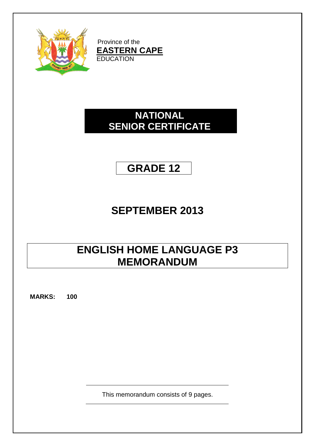

Province of the **EASTERN CAPE EDUCATION** 

# **NATIONAL SENIOR CERTIFICATE**

# **GRADE 12**

# **SEPTEMBER 2013**

# **ENGLISH HOME LANGUAGE P3 MEMORANDUM**

**MARKS: 100**

This memorandum consists of 9 pages.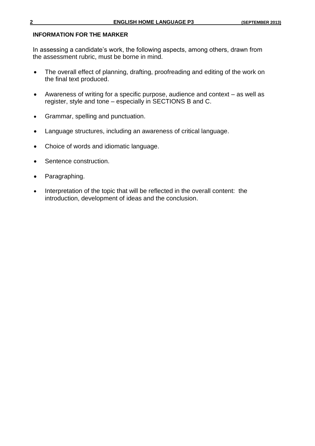### **INFORMATION FOR THE MARKER**

In assessing a candidate's work, the following aspects, among others, drawn from the assessment rubric, must be borne in mind.

- The overall effect of planning, drafting, proofreading and editing of the work on the final text produced.
- Awareness of writing for a specific purpose, audience and context as well as register, style and tone – especially in SECTIONS B and C.
- Grammar, spelling and punctuation.
- Language structures, including an awareness of critical language.
- Choice of words and idiomatic language.
- Sentence construction.
- Paragraphing.
- Interpretation of the topic that will be reflected in the overall content: the introduction, development of ideas and the conclusion.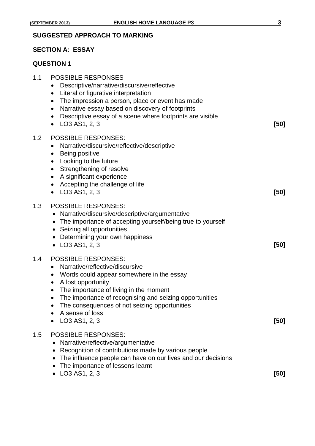# **SUGGESTED APPROACH TO MARKING**

# **SECTION A: ESSAY**

# **QUESTION 1**

| 1.1 | <b>POSSIBLE RESPONSES</b><br>Descriptive/narrative/discursive/reflective<br>Literal or figurative interpretation<br>$\bullet$<br>The impression a person, place or event has made<br>$\bullet$<br>Narrative essay based on discovery of footprints<br>$\bullet$<br>Descriptive essay of a scene where footprints are visible<br>$\bullet$<br>LO3 AS1, 2, 3<br>$\bullet$                                      | [50] |
|-----|--------------------------------------------------------------------------------------------------------------------------------------------------------------------------------------------------------------------------------------------------------------------------------------------------------------------------------------------------------------------------------------------------------------|------|
| 1.2 | <b>POSSIBLE RESPONSES:</b><br>Narrative/discursive/reflective/descriptive<br>٠<br>Being positive<br>$\bullet$<br>Looking to the future<br>$\bullet$<br>Strengthening of resolve<br>$\bullet$<br>A significant experience<br>$\bullet$<br>Accepting the challenge of life<br>$\bullet$<br>LO3 AS1, 2, 3<br>$\bullet$                                                                                          | [50] |
| 1.3 | <b>POSSIBLE RESPONSES:</b><br>Narrative/discursive/descriptive/argumentative<br>$\bullet$<br>The importance of accepting yourself/being true to yourself<br>• Seizing all opportunities<br>Determining your own happiness<br>$\bullet$ LO3 AS1, 2, 3                                                                                                                                                         | [50] |
| 1.4 | <b>POSSIBLE RESPONSES:</b><br>Narrative/reflective/discursive<br>٠<br>Words could appear somewhere in the essay<br>$\bullet$<br>A lost opportunity<br>$\bullet$<br>The importance of living in the moment<br>$\bullet$<br>The importance of recognising and seizing opportunities<br>$\bullet$<br>The consequences of not seizing opportunities<br>A sense of loss<br>LO <sub>3</sub> AS <sub>1</sub> , 2, 3 | [50] |
| 1.5 | <b>POSSIBLE RESPONSES:</b><br>Narrative/reflective/argumentative<br>Recognition of contributions made by various people<br>$\bullet$<br>The influence people can have on our lives and our decisions<br>The importance of lessons learnt<br>LO3 AS1, 2, 3                                                                                                                                                    | [50] |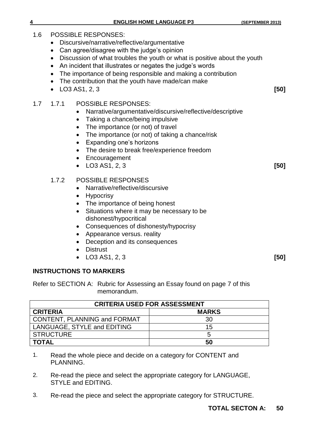- 1.6 POSSIBLE RESPONSES:
	- Discursive/narrative/reflective/argumentative
	- Can agree/disagree with the judge's opinion
	- Discussion of what troubles the youth or what is positive about the youth
	- An incident that illustrates or negates the judge's words
	- The importance of being responsible and making a contribution
	- The contribution that the youth have made/can make
	- LO3 AS1, 2, 3 **[50]**
- 1.7 1.7.1 POSSIBLE RESPONSES:
	- Narrative/argumentative/discursive/reflective/descriptive
	- Taking a chance/being impulsive
	- The importance (or not) of travel
	- The importance (or not) of taking a chance/risk
	- Expanding one's horizons
	- The desire to break free/experience freedom
	- Encouragement
	- LO3 AS1, 2, 3 **[50]**

## 1.7.2 POSSIBLE RESPONSES

- Narrative/reflective/discursive
- Hypocrisy
- The importance of being honest
- Situations where it may be necessary to be dishonest/hypocritical
- Consequences of dishonesty/hypocrisy
- Appearance versus. reality
- Deception and its consequences
- Distrust
- LO3 AS1, 2, 3 **[50]**

## **INSTRUCTIONS TO MARKERS**

Refer to SECTION A: Rubric for Assessing an Essay found on page 7 of this memorandum.

| <b>CRITERIA USED FOR ASSESSMENT</b> |              |  |  |  |  |
|-------------------------------------|--------------|--|--|--|--|
| <b>CRITERIA</b>                     | <b>MARKS</b> |  |  |  |  |
| <b>CONTENT, PLANNING and FORMAT</b> | 30           |  |  |  |  |
| LANGUAGE, STYLE and EDITING         | 15           |  |  |  |  |
| <b>STRUCTURE</b>                    | 5            |  |  |  |  |
| <b>TOTAL</b>                        | 50           |  |  |  |  |

- 1. Read the whole piece and decide on a category for CONTENT and PLANNING.
- 2. Re-read the piece and select the appropriate category for LANGUAGE, STYLE and EDITING.
- 3. Re-read the piece and select the appropriate category for STRUCTURE.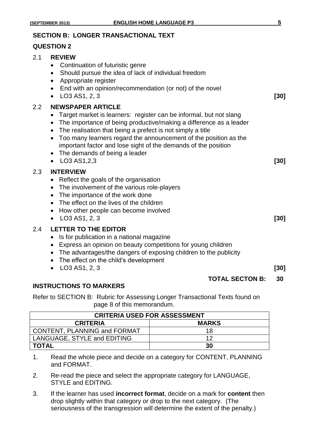# **SECTION B: LONGER TRANSACTIONAL TEXT**

### **QUESTION 2**

| 2.1 | <b>REVIEW</b><br>Continuation of futuristic genre<br>$\bullet$<br>Should pursue the idea of lack of individual freedom<br>$\bullet$<br>Appropriate register<br>$\bullet$<br>End with an opinion/recommendation (or not) of the novel<br>$\bullet$<br>LO <sub>3</sub> AS <sub>1</sub> , 2, 3<br>$\bullet$                                                                                                                                                                                               |                        | $[30]$       |
|-----|--------------------------------------------------------------------------------------------------------------------------------------------------------------------------------------------------------------------------------------------------------------------------------------------------------------------------------------------------------------------------------------------------------------------------------------------------------------------------------------------------------|------------------------|--------------|
| 2.2 | <b>NEWSPAPER ARTICLE</b><br>Target market is learners: register can be informal, but not slang<br>$\bullet$<br>The importance of being productive/making a difference as a leader<br>$\bullet$<br>The realisation that being a prefect is not simply a title<br>$\bullet$<br>Too many learners regard the announcement of the position as the<br>$\bullet$<br>important factor and lose sight of the demands of the position<br>The demands of being a leader<br>$\bullet$<br>LO3 AS1,2,3<br>$\bullet$ |                        | $[30]$       |
| 2.3 | <b>INTERVIEW</b><br>Reflect the goals of the organisation<br>$\bullet$<br>The involvement of the various role-players<br>$\bullet$<br>The importance of the work done<br>$\bullet$<br>The effect on the lives of the children<br>$\bullet$<br>How other people can become involved<br>$\bullet$<br>LO <sub>3</sub> AS <sub>1</sub> , 2, 3<br>$\bullet$                                                                                                                                                 |                        | $[30]$       |
| 2.4 | <b>LETTER TO THE EDITOR</b><br>Is for publication in a national magazine<br>$\bullet$<br>Express an opinion on beauty competitions for young children<br>$\bullet$<br>The advantages/the dangers of exposing children to the publicity<br>$\bullet$<br>The effect on the child's development<br>$\bullet$<br>LO <sub>3</sub> AS <sub>1</sub> , 2, 3<br>$\bullet$                                                                                                                                       | <b>TOTAL SECTON B:</b> | $[30]$<br>30 |

## **INSTRUCTIONS TO MARKERS**

Refer to SECTION B: Rubric for Assessing Longer Transactional Texts found on page 8 of this memorandum.

| <b>CRITERIA USED FOR ASSESSMENT</b> |    |  |  |  |  |  |
|-------------------------------------|----|--|--|--|--|--|
| <b>CRITERIA</b><br><b>MARKS</b>     |    |  |  |  |  |  |
| <b>CONTENT, PLANNING and FORMAT</b> | 18 |  |  |  |  |  |
| LANGUAGE, STYLE and EDITING         | ィク |  |  |  |  |  |
| <b>TOTAL</b>                        | 30 |  |  |  |  |  |

- 1. Read the whole piece and decide on a category for CONTENT, PLANNING and FORMAT.
- 2. Re-read the piece and select the appropriate category for LANGUAGE, STYLE and EDITING.
- 3. If the learner has used **incorrect format**, decide on a mark for **content** then drop slightly within that category or drop to the next category. (The seriousness of the transgression will determine the extent of the penalty.)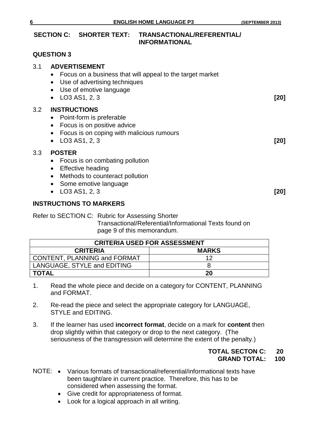## **SECTION C: SHORTER TEXT: TRANSACTIONAL/REFERENTIAL/ INFORMATIONAL**

### **QUESTION 3**

| 3.1 | <b>ADVERTISEMENT</b><br>Focus on a business that will appeal to the target market<br>$\bullet$<br>Use of advertising techniques<br>$\bullet$<br>Use of emotive language<br>$\bullet$<br>LO <sub>3</sub> AS <sub>1</sub> , 2, 3<br>$\bullet$ | [20] |
|-----|---------------------------------------------------------------------------------------------------------------------------------------------------------------------------------------------------------------------------------------------|------|
| 3.2 | <b>INSTRUCTIONS</b><br>Point-form is preferable<br>$\bullet$<br>Focus is on positive advice<br>$\bullet$<br>Focus is on coping with malicious rumours<br>$\bullet$<br>LO <sub>3</sub> AS <sub>1</sub> , 2, 3                                | [20] |
| 3.3 | <b>POSTER</b><br>Focus is on combating pollution<br>$\bullet$<br><b>Effective heading</b><br>$\bullet$<br>Methods to counteract pollution<br>$\bullet$<br>Some emotive language<br>$\bullet$<br>LO3 AS1, 2, 3<br>$\bullet$                  | [20] |
|     | <b>INSTRUCTIONS TO MARKERS</b>                                                                                                                                                                                                              |      |
|     | Refer to SECTION C: Rubric for Assessing Shorter                                                                                                                                                                                            |      |

Transactional/Referential/Informational Texts found on page 9 of this memorandum.

| <b>CRITERIA USED FOR ASSESSMENT</b> |    |  |  |  |  |  |
|-------------------------------------|----|--|--|--|--|--|
| <b>MARKS</b><br><b>CRITERIA</b>     |    |  |  |  |  |  |
| <b>CONTENT, PLANNING and FORMAT</b> | 12 |  |  |  |  |  |
| LANGUAGE, STYLE and EDITING         |    |  |  |  |  |  |
| <b>TOTAL</b>                        | 20 |  |  |  |  |  |

- 1. Read the whole piece and decide on a category for CONTENT, PLANNING and FORMAT.
- 2. Re-read the piece and select the appropriate category for LANGUAGE, STYLE and EDITING.
- 3. If the learner has used **incorrect format**, decide on a mark for **content** then drop slightly within that category or drop to the next category. (The seriousness of the transgression will determine the extent of the penalty.)

# **TOTAL SECTON C: 20 GRAND TOTAL: 100**

- NOTE: Various formats of transactional/referential/informational texts have been taught/are in current practice. Therefore, this has to be considered when assessing the format.
	- Give credit for appropriateness of format.
	- Look for a logical approach in all writing.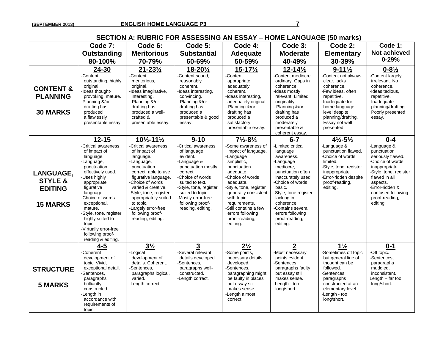## **SECTION A: RUBRIC FOR ASSESSING AN ESSAY – HOME LANGUAGE (50 marks)**

|                                                                             |                                                                                                                                                                                                                                                                                                                                                     |                                                                                                                                                                                                                                                                                                                                           | Code 5:                                                                                                                                                                                                                                                         | Code 4:                                                                                                                                                                                                                                                                                                                        |                                                                                                                                                                                                                                                                                       | $\sim$                                                                                                                                                                                                                 | Code 1:                                                                                                                                                                                                                        |
|-----------------------------------------------------------------------------|-----------------------------------------------------------------------------------------------------------------------------------------------------------------------------------------------------------------------------------------------------------------------------------------------------------------------------------------------------|-------------------------------------------------------------------------------------------------------------------------------------------------------------------------------------------------------------------------------------------------------------------------------------------------------------------------------------------|-----------------------------------------------------------------------------------------------------------------------------------------------------------------------------------------------------------------------------------------------------------------|--------------------------------------------------------------------------------------------------------------------------------------------------------------------------------------------------------------------------------------------------------------------------------------------------------------------------------|---------------------------------------------------------------------------------------------------------------------------------------------------------------------------------------------------------------------------------------------------------------------------------------|------------------------------------------------------------------------------------------------------------------------------------------------------------------------------------------------------------------------|--------------------------------------------------------------------------------------------------------------------------------------------------------------------------------------------------------------------------------|
|                                                                             | Code 7:                                                                                                                                                                                                                                                                                                                                             | Code 6:                                                                                                                                                                                                                                                                                                                                   |                                                                                                                                                                                                                                                                 |                                                                                                                                                                                                                                                                                                                                | Code 3:                                                                                                                                                                                                                                                                               | Code 2:                                                                                                                                                                                                                | Not achieved                                                                                                                                                                                                                   |
|                                                                             | <b>Outstanding</b>                                                                                                                                                                                                                                                                                                                                  | <b>Meritorious</b>                                                                                                                                                                                                                                                                                                                        | <b>Substantial</b>                                                                                                                                                                                                                                              | <b>Adequate</b>                                                                                                                                                                                                                                                                                                                | <b>Moderate</b>                                                                                                                                                                                                                                                                       | <b>Elementary</b>                                                                                                                                                                                                      | $0 - 29%$                                                                                                                                                                                                                      |
|                                                                             | 80-100%                                                                                                                                                                                                                                                                                                                                             | 70-79%                                                                                                                                                                                                                                                                                                                                    | 60-69%                                                                                                                                                                                                                                                          | 50-59%                                                                                                                                                                                                                                                                                                                         | 40-49%                                                                                                                                                                                                                                                                                | 30-39%                                                                                                                                                                                                                 |                                                                                                                                                                                                                                |
| <b>CONTENT &amp;</b><br><b>PLANNING</b><br><b>30 MARKS</b>                  | 24-30<br>-Content<br>outstanding, highly<br>original.<br>-Ideas thought-<br>provoking, mature.<br>-Planning &/or<br>drafting has<br>produced<br>a flawlessly<br>presentable essay.                                                                                                                                                                  | $21 - 23\frac{1}{2}$<br>-Content<br>meritorious,<br>original.<br>-Ideas imaginative,<br>interesting.<br>- Planning &/or<br>drafting has<br>produced a well-<br>crafted &<br>presentable essay.                                                                                                                                            | 18-201/2<br>-Content sound,<br>reasonably<br>coherent.<br>-Ideas interesting,<br>convincing.<br>- Planning &/or<br>drafting has<br>produced a<br>presentable & good<br>essay.                                                                                   | $15 - 17\frac{1}{2}$<br>-Content<br>appropriate,<br>adequately<br>coherent.<br>-Ideas interesting,<br>adequately original.<br>- Planning &/or<br>drafting has<br>produced a<br>satisfactory,<br>presentable essay.                                                                                                             | $12 - 14\frac{1}{2}$<br>-Content mediocre,<br>ordinary. Gaps in<br>coherence.<br>-Ideas mostly<br>relevant. Limited<br>originality.<br>- Planning &/or<br>drafting has<br>produced a<br>moderately<br>presentable &<br>coherent essay.                                                | $9 - 11\frac{1}{2}$<br>Content not always<br>clear. lacks<br>coherence.<br>-Few ideas, often<br>repetitive.<br>-Inadequate for<br>home language<br>level despite<br>planning/drafting.<br>Essay not well<br>presented. | $0 - 8\frac{1}{2}$<br>Content largely<br>irrelevant. No<br>coherence.<br>-Ideas tedious,<br>repetitive.<br>-Inadequate<br>planning/drafting.<br>Poorly presented<br>essay.                                                     |
| <b>LANGUAGE,</b><br><b>STYLE &amp;</b><br><b>EDITING</b><br><b>15 MARKS</b> | $12 - 15$<br>-Critical awareness<br>of impact of<br>language.<br>-Language,<br>punctuation<br>effectively used.<br>-Uses highly<br>appropriate<br>figurative<br>language.<br>-Choice of words<br>exceptional,<br>mature.<br>-Style, tone, register<br>highly suited to<br>topic.<br>-Virtually error-free<br>following proof-<br>reading & editing. | $10\frac{1}{2} - 11\frac{1}{2}$<br>-Critical awareness<br>of impact of<br>language.<br>-Language,<br>punctuation<br>correct; able to use<br>figurative language.<br>-Choice of words<br>varied & creative.<br>-Style, tone, register<br>appropriately suited<br>to topic.<br>-Largely error-free<br>following proof-<br>reading, editing. | $9 - 10$<br>-Critical awareness<br>of language<br>evident.<br>-Language &<br>punctuation mostly<br>correct.<br>-Choice of words<br>suited to text.<br>-Style, tone, register<br>suited to topic.<br>-Mostly error-free<br>following proof-<br>reading, editing. | $7\frac{1}{2} - 8\frac{1}{2}$<br>-Some awareness of<br>impact of language.<br>-Language<br>simplistic,<br>punctuation<br>adequate.<br>-Choice of words<br>adequate.<br>-Style, tone, register<br>generally consistent<br>with topic<br>requirements.<br>Still contains a few<br>errors following<br>proof-reading,<br>editing. | $6 - 7$<br>-Limited critical<br>language<br>awareness.<br>-Language<br>mediocre.<br>punctuation often<br>inaccurately used.<br>-Choice of words<br>basic.<br>-Style, tone register<br>lacking in<br>coherence.<br>-Contains several<br>errors following<br>proof-reading,<br>editing. | $4\frac{1}{2} - 5\frac{1}{2}$<br>-Language &<br>punctuation flawed.<br>-Choice of words<br>limited.<br>-Style, tone, register<br>inappropriate.<br>-Error-ridden despite<br>proof-reading,<br>editing.                 | $0 - 4$<br>-Language &<br>punctuation<br>seriously flawed.<br>-Choice of words<br>inappropriate.<br>-Style, tone, register<br>flawed in all<br>aspects.<br>-Error-ridden &<br>confused following<br>proof-reading,<br>editing. |
| <b>STRUCTURE</b><br><b>5 MARKS</b>                                          | $4 - 5$<br>-Coherent<br>development of<br>topic. Vivid.<br>exceptional detail.<br>-Sentences,<br>paragraphs<br>brilliantly<br>constructed.<br>-Length in<br>accordance with<br>requirements of<br>topic.                                                                                                                                            | $3\frac{1}{2}$<br>-Logical<br>development of<br>details. Coherent.<br>-Sentences,<br>paragraphs logical,<br>varied.<br>-Length correct.                                                                                                                                                                                                   | 3<br>-Several relevant<br>details developed.<br>-Sentences,<br>paragraphs well-<br>constructed.<br>-Length correct.                                                                                                                                             | $2\frac{1}{2}$<br>-Some points,<br>necessary details<br>developed.<br>Sentences,<br>paragraphing might<br>be faulty in places<br>but essay still<br>makes sense.<br>-Length almost<br>correct.                                                                                                                                 | $\overline{2}$<br>-Most necessary<br>points evident.<br>-Sentences,<br>paragraphs faulty<br>but essay still<br>makes sense.<br>-Length - too<br>long/short.                                                                                                                           | $1\frac{1}{2}$<br>-Sometimes off topic<br>but general line of<br>thought can be<br>followed.<br>-Sentences,<br>paragraphs<br>constructed at an<br>elementary level.<br>-Length - too<br>long/short.                    | $0 - 1$<br>-Off topic.<br>-Sentences,<br>paragraphs<br>muddled,<br>inconsistent.<br>Length - far too<br>long/short.                                                                                                            |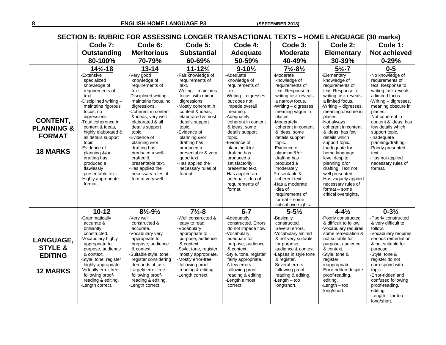# **SECTION B: RUBRIC FOR ASSESSING LONGER TRANSACTIONAL TEXTS – HOME LANGUAGE (30 marks)**

|                                                                             | Code 7:                                                                                                                                                                                                                                                                                                                                                                                                           | Code 6:                                                                                                                                                                                                                                                                                                                                                                                                   | Code 5:                                                                                                                                                                                                                                                                                                                                                                                  | Code 4:                                                                                                                                                                                                                                                                                                                                                                                                         | Code 3:                                                                                                                                                                                                                                                                                                                                                                                                                                                                                             | Code 2:                                                                                                                                                                                                                                                                                                                                                                                                                                                                                            | Code 1:                                                                                                                                                                                                                                                                                                                                                                             |
|-----------------------------------------------------------------------------|-------------------------------------------------------------------------------------------------------------------------------------------------------------------------------------------------------------------------------------------------------------------------------------------------------------------------------------------------------------------------------------------------------------------|-----------------------------------------------------------------------------------------------------------------------------------------------------------------------------------------------------------------------------------------------------------------------------------------------------------------------------------------------------------------------------------------------------------|------------------------------------------------------------------------------------------------------------------------------------------------------------------------------------------------------------------------------------------------------------------------------------------------------------------------------------------------------------------------------------------|-----------------------------------------------------------------------------------------------------------------------------------------------------------------------------------------------------------------------------------------------------------------------------------------------------------------------------------------------------------------------------------------------------------------|-----------------------------------------------------------------------------------------------------------------------------------------------------------------------------------------------------------------------------------------------------------------------------------------------------------------------------------------------------------------------------------------------------------------------------------------------------------------------------------------------------|----------------------------------------------------------------------------------------------------------------------------------------------------------------------------------------------------------------------------------------------------------------------------------------------------------------------------------------------------------------------------------------------------------------------------------------------------------------------------------------------------|-------------------------------------------------------------------------------------------------------------------------------------------------------------------------------------------------------------------------------------------------------------------------------------------------------------------------------------------------------------------------------------|
|                                                                             | Outstanding                                                                                                                                                                                                                                                                                                                                                                                                       | <b>Meritorious</b>                                                                                                                                                                                                                                                                                                                                                                                        | <b>Substantial</b>                                                                                                                                                                                                                                                                                                                                                                       | Adequate                                                                                                                                                                                                                                                                                                                                                                                                        | <b>Moderate</b>                                                                                                                                                                                                                                                                                                                                                                                                                                                                                     | <b>Elementary</b>                                                                                                                                                                                                                                                                                                                                                                                                                                                                                  | <b>Not achieved</b>                                                                                                                                                                                                                                                                                                                                                                 |
|                                                                             | 80-100%                                                                                                                                                                                                                                                                                                                                                                                                           | 70-79%                                                                                                                                                                                                                                                                                                                                                                                                    | 60-69%                                                                                                                                                                                                                                                                                                                                                                                   | 50-59%                                                                                                                                                                                                                                                                                                                                                                                                          | 40-49%                                                                                                                                                                                                                                                                                                                                                                                                                                                                                              | 30-39%                                                                                                                                                                                                                                                                                                                                                                                                                                                                                             | $0 - 29%$                                                                                                                                                                                                                                                                                                                                                                           |
| CONTENT,<br><b>PLANNING &amp;</b><br><b>FORMAT</b><br><b>18 MARKS</b>       | $14\frac{1}{2} - 18$<br>-Extensive<br>specialized<br>knowledge of<br>requirements of<br>text.<br>-Disciplined writing -<br>maintains rigorous<br>focus, no<br>digressions.<br>-Total coherence in<br>content & ideas,<br>highly elaborated &<br>all details support<br>topic.<br>-Evidence of<br>planning &/or<br>drafting has<br>produced a<br>flawlessly<br>presentable text.<br>-Highly appropriate<br>format. | $13 - 14$<br>-Very good<br>knowledge of<br>requirements of<br>text.<br>-Disciplined writing -<br>maintains focus, no<br>digressions.<br>-Coherent in content<br>& ideas, very well<br>elaborated & all<br>details support<br>topic.<br>-Evidence of<br>planning &/or<br>drafting has<br>produced a well-<br>crafted &<br>presentable text.<br>-Has applied the<br>necessary rules of<br>format very well. | $11 - 12\frac{1}{2}$<br>-Fair knowledge of<br>requirements of<br>text.<br>-Writing - maintains<br>focus, with minor<br>digressions.<br>-Mostly coherent in<br>content & ideas,<br>elaborated & most<br>details support<br>topic.<br>-Evidence of<br>planning &/or<br>drafting has<br>produced a<br>presentable & very<br>good text.<br>-Has applied the<br>necessary rules of<br>format. | $9 - 10\frac{1}{2}$<br>-Adequate<br>knowledge of<br>requirements of<br>text.<br>-Writing - digresses<br>but does not<br>impede overall<br>meaning.<br>-Adequately<br>coherent in content<br>& ideas, some<br>details support<br>topic.<br>-Evidence of<br>planning &/or<br>drafting has<br>produced a<br>satisfactorily<br>presented text.<br>-Has applied an<br>adequate idea of<br>requirements of<br>format. | $7\frac{1}{2} - 8\frac{1}{2}$<br>-Moderate<br>knowledge of<br>requirements of<br>text. Response to<br>writing task reveals<br>a narrow focus.<br>-Writing - digresses,<br>meaning vague in<br>places.<br>-Moderately<br>coherent in content<br>& ideas, some<br>details support<br>topic.<br>-Evidence of<br>planning &/or<br>drafting has<br>produced a<br>moderately<br>Presentable &<br>coherent text.<br>-Has a moderate<br>idea of<br>requirements of<br>format - some<br>critical oversights. | $5\frac{1}{2} - 7$<br>-Elementary<br>knowledge of<br>requirements of<br>text. Response to<br>writing task reveals<br>a limited focus.<br>-Writing - digresses,<br>meaning obscure in<br>places.<br>-Not always<br>coherent in content<br>& ideas, has few<br>details which<br>support topic.<br>-Inadequate for<br>home language<br>level despite<br>planning &/or<br>drafting. Text not<br>well presented,<br>-Has vaguely applied<br>necessary rules of<br>format - some<br>critical oversights. | $0 - 5$<br>-No knowledge of<br>requirements of<br>text. Response to<br>writing task reveals<br>a limited focus.<br>-Writing - digresses,<br>meaning obscure in<br>places.<br>-Not coherent in<br>content & ideas, has<br>few details which<br>support topic.<br>-Inadequate<br>planning/drafting.<br>Poorly presented<br>text.<br>-Has not applied<br>necessary rules of<br>format. |
| <b>LANGUAGE,</b><br><b>STYLE &amp;</b><br><b>EDITING</b><br><b>12 MARKS</b> | $10 - 12$<br>-Grammatically<br>accurate &<br>brilliantly<br>constructed.<br>-Vocabulary highly<br>appropriate to<br>purpose, audience<br>& context.<br>-Style, tone, register<br>highly appropriate.<br>-Virtually error-free<br>following proof-<br>reading & editing.<br>-Length correct.                                                                                                                       | $8\frac{1}{2} - 9\frac{1}{2}$<br>-Very well<br>constructed &<br>accurate.<br>-Vocabulary very<br>appropriate to<br>purpose, audience<br>& context.<br>-Suitable style, tone,<br>register considering<br>demands of task.<br>-Largely error-free<br>following proof-<br>reading & editing.<br>-Length correct.                                                                                             | $7\frac{1}{2} - 8$<br>-Well constructed &<br>easy to read.<br>-Vocabulary<br>appropriate to<br>purpose, audience<br>& context.<br>-Style, tone, register<br>mostly appropriate.<br>-Mostly error-free<br>following proof-<br>reading & editing.<br>-Length correct.                                                                                                                      | $6 - 7$<br>-Adequately<br>constructed. Errors<br>do not impede flow.<br>-Vocabulary<br>adequate for<br>purpose, audience<br>& context.<br>-Style, tone, register<br>fairly appropriate.<br>-A few errors<br>following proof-<br>reading & editing.<br>-Length almost<br>correct.                                                                                                                                | $5 - 5\frac{1}{2}$<br>-Basically<br>constructed.<br>Several errors.<br>-Vocabulary limited<br>& not very suitable<br>for purpose,<br>audience & context.<br>-Lapses in style tone<br>& register.<br>-Several errors<br>following proof-<br>reading & editing.<br>$-Length - too$<br>long/short.                                                                                                                                                                                                     | $4 - 4\frac{1}{2}$<br>-Poorly constructed<br>& difficult to follow.<br>-Vocabulary requires<br>some remediation &<br>not suitable for<br>purpose, audience<br>& context.<br>-Style, tone &<br>register<br>inappropriate.<br>-Error-ridden despite<br>proof-reading,<br>editing.<br>-Length $-$ too<br>long/short.                                                                                                                                                                                  | $0 - 3\frac{1}{2}$<br>-Poorly constructed<br>& very difficult to<br>follow.<br>-Vocabulary requires<br>serious remediation<br>& not suitable for<br>purpose.<br>-Style, tone &<br>register do not<br>correspond with<br>topic<br>-Error-ridden and<br>confused following<br>proof-reading,<br>editing.<br>-Length $-$ far too<br>long/short.                                        |